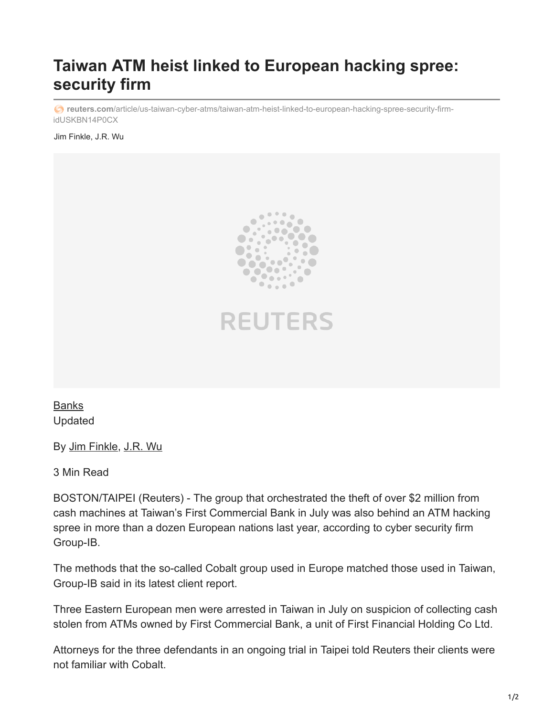## **Taiwan ATM heist linked to European hacking spree: security firm**

*c* reuters.com[/article/us-taiwan-cyber-atms/taiwan-atm-heist-linked-to-european-hacking-spree-security-firm](https://www.reuters.com/article/us-taiwan-cyber-atms/taiwan-atm-heist-linked-to-european-hacking-spree-security-firm-idUSKBN14P0CX)idUSKBN14P0CX

Jim Finkle, J.R. Wu





[Banks](https://www.reuters.com/news/archive/bank-news) Updated

By [Jim Finkle](https://www.reuters.com/journalists/jim-finkle), [J.R. Wu](https://www.reuters.com/journalists/jr-wu)

3 Min Read

BOSTON/TAIPEI (Reuters) - The group that orchestrated the theft of over \$2 million from cash machines at Taiwan's First Commercial Bank in July was also behind an ATM hacking spree in more than a dozen European nations last year, according to cyber security firm Group-IB.

The methods that the so-called Cobalt group used in Europe matched those used in Taiwan, Group-IB said in its latest client report.

Three Eastern European men were arrested in Taiwan in July on suspicion of collecting cash stolen from ATMs owned by First Commercial Bank, a unit of First Financial Holding Co Ltd.

Attorneys for the three defendants in an ongoing trial in Taipei told Reuters their clients were not familiar with Cobalt.